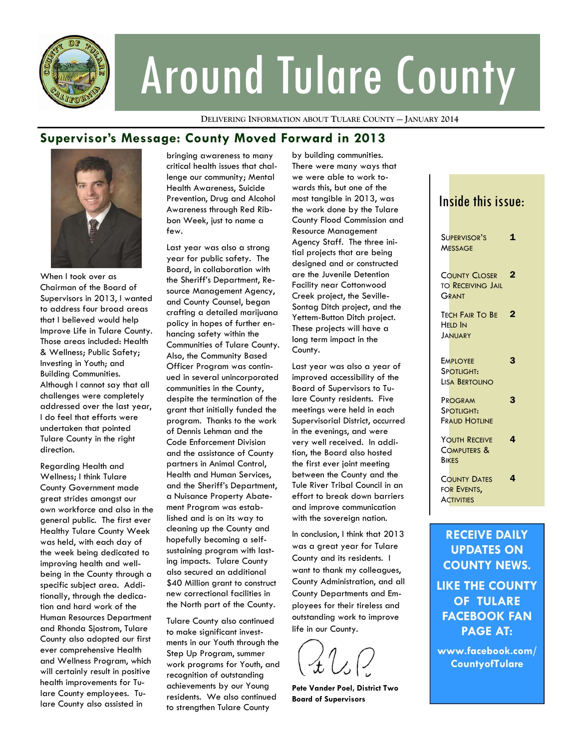

# Around Tulare County

**DELIVERING INFORMATION ABOUT TULARE COUNTY — JANUARY 2014**

### **Supervisor's Message: County Moved Forward in 2013**



When I took over as Chairman of the Board of Supervisors in 2013, I wanted to address four broad areas that I believed would help Improve Life in Tulare County. Those areas included: Health & Wellness; Public Safety; Investing in Youth; and Building Communities. Although I cannot say that all challenges were completely addressed over the last year, I do feel that efforts were undertaken that pointed Tulare County in the right direction.

Regarding Health and Wellness; I think Tulare County Government made great strides amongst our own workforce and also in the general public. The first ever Healthy Tulare County Week was held, with each day of the week being dedicated to improving health and wellbeing in the County through a specific subject area. Additionally, through the dedication and hard work of the Human Resources Department and Rhonda Sjostrom, Tulare County also adopted our first ever comprehensive Health and Wellness Program, which will certainly result in positive health improvements for Tulare County employees. Tulare County also assisted in

bringing awareness to many critical health issues that challenge our community; Mental Health Awareness, Suicide Prevention, Drug and Alcohol Awareness through Red Ribbon Week, just to name a few.

Last year was also a strong year for public safety. The Board, in collaboration with the Sheriff's Department, Resource Management Agency, and County Counsel, began crafting a detailed marijuana policy in hopes of further enhancing safety within the Communities of Tulare County. Also, the Community Based Officer Program was continued in several unincorporated communities in the County, despite the termination of the grant that initially funded the program. Thanks to the work of Dennis Lehman and the Code Enforcement Division and the assistance of County partners in Animal Control, Health and Human Services, and the Sheriff's Department, a Nuisance Property Abatement Program was established and is on its way to cleaning up the County and hopefully becoming a selfsustaining program with lasting impacts. Tulare County also secured an additional \$40 Million grant to construct new correctional facilities in the North part of the County.

Tulare County also continued to make significant investments in our Youth through the Step Up Program, summer work programs for Youth, and recognition of outstanding achievements by our Young residents. We also continued to strengthen Tulare County

by building communities. There were many ways that we were able to work towards this, but one of the most tangible in 2013, was the work done by the Tulare County Flood Commission and Resource Management Agency Staff. The three initial projects that are being designed and or constructed are the Juvenile Detention Facility near Cottonwood Creek project, the Seville-Sontag Ditch project, and the Yettem-Button Ditch project. These projects will have a long term impact in the County.

Last year was also a year of improved accessibility of the Board of Supervisors to Tulare County residents. Five meetings were held in each Supervisorial District, occurred in the evenings, and were very well received. In addition, the Board also hosted the first ever joint meeting between the County and the Tule River Tribal Council in an effort to break down barriers and improve communication with the sovereign nation.

In conclusion, I think that 2013 was a great year for Tulare County and its residents. I want to thank my colleagues, County Administration, and all County Departments and Employees for their tireless and outstanding work to improve life in our County.

**Pete Vander Poel, District Two Board of Supervisors** 

## Inside this issue:

| $\overline{2}$<br><b>COUNTY CLOSER</b><br><b>TO RECEIVING JAIL</b><br>Grant<br>$\mathbf 2$<br>TECH FAIR TO BE<br><b>HELD IN</b><br><b>JANUARY</b><br>3<br><b>EMPLOYEE</b><br>SPOTLIGHT:<br><b>LISA BERTOLINO</b><br>3<br>PROGRAM<br>Spotlight:<br><b>FRAUD HOTLINE</b><br>4<br>YOUTH RECEIVE<br>COMPUTERS &<br><b>BIKES</b><br>4<br><b>COUNTY DATES</b><br>For Events,<br><b>ACTIVITIES</b> | Supervisor's<br><b>MESSAGE</b> | $\mathbf 1$ |
|---------------------------------------------------------------------------------------------------------------------------------------------------------------------------------------------------------------------------------------------------------------------------------------------------------------------------------------------------------------------------------------------|--------------------------------|-------------|
|                                                                                                                                                                                                                                                                                                                                                                                             |                                |             |
|                                                                                                                                                                                                                                                                                                                                                                                             |                                |             |
|                                                                                                                                                                                                                                                                                                                                                                                             |                                |             |
|                                                                                                                                                                                                                                                                                                                                                                                             |                                |             |
|                                                                                                                                                                                                                                                                                                                                                                                             |                                |             |
|                                                                                                                                                                                                                                                                                                                                                                                             |                                |             |

**RECEIVE DAILY UPDATES ON COUNTY NEWS. LIKE THE COUNTY OF TULARE FACEBOOK FAN PAGE AT:** 

**www.facebook.com/ CountyofTulare**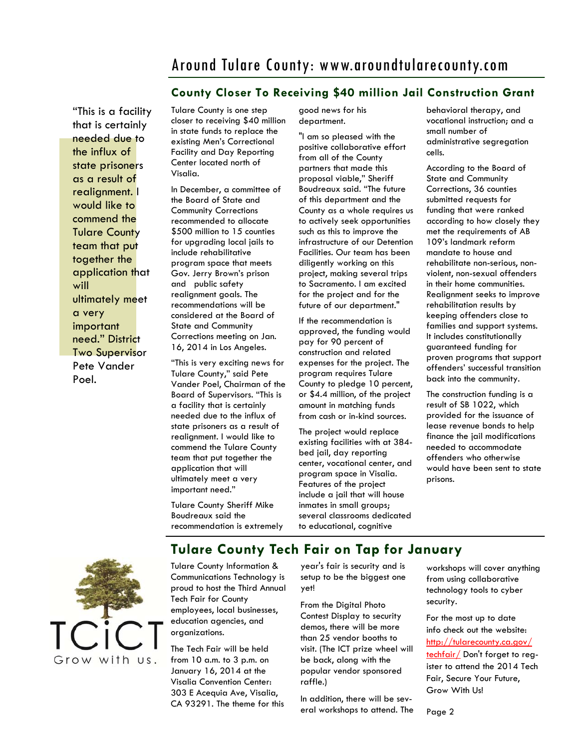## Around Tulare County: www.aroundtularecounty.com

#### **County Closer To Receiving \$40 million Jail Construction Grant**

"This is a facility that is certainly needed due to the influx of state prisoners as a result of realignment. I would like to commend the Tulare County team that put together the application that will ultimately meet a very important need." District Two Supervisor Pete Vander Poel.

Tulare County is one step closer to receiving \$40 million in state funds to replace the existing Men's Correctional Facility and Day Reporting Center located north of Visalia.

In December, a committee of the Board of State and Community Corrections recommended to allocate \$500 million to 15 counties for upgrading local jails to include rehabilitative program space that meets Gov. Jerry Brown's prison and public safety realignment goals. The recommendations will be considered at the Board of State and Community Corrections meeting on Jan. 16, 2014 in Los Angeles.

"This is very exciting news for Tulare County," said Pete Vander Poel, Chairman of the Board of Supervisors. "This is a facility that is certainly needed due to the influx of state prisoners as a result of realignment. I would like to commend the Tulare County team that put together the application that will ultimately meet a very important need."

Tulare County Sheriff Mike Boudreaux said the recommendation is extremely good news for his department.

"I am so pleased with the positive collaborative effort from all of the County partners that made this proposal viable," Sheriff Boudreaux said. "The future of this department and the County as a whole requires us to actively seek opportunities such as this to improve the infrastructure of our Detention Facilities. Our team has been diligently working on this project, making several trips to Sacramento. I am excited for the project and for the future of our department."

If the recommendation is approved, the funding would pay for 90 percent of construction and related expenses for the project. The program requires Tulare County to pledge 10 percent, or \$4.4 million, of the project amount in matching funds from cash or in-kind sources.

The project would replace existing facilities with at 384 bed jail, day reporting center, vocational center, and program space in Visalia. Features of the project include a jail that will house inmates in small groups; several classrooms dedicated to educational, cognitive

behavioral therapy, and vocational instruction; and a small number of administrative segregation cells.

According to the Board of State and Community Corrections, 36 counties submitted requests for funding that were ranked according to how closely they met the requirements of AB 109's landmark reform mandate to house and rehabilitate non-serious, nonviolent, non-sexual offenders in their home communities. Realignment seeks to improve rehabilitation results by keeping offenders close to families and support systems. It includes constitutionally guaranteed funding for proven programs that support offenders' successful transition back into the community.

The construction funding is a result of SB 1022, which provided for the issuance of lease revenue bonds to help finance the jail modifications needed to accommodate offenders who otherwise would have been sent to state prisons.



## **Tulare County Tech Fair on Tap for January**

Tulare County Information & Communications Technology is proud to host the Third Annual Tech Fair for County employees, local businesses, education agencies, and organizations.

The Tech Fair will be held from 10 a.m. to 3 p.m. on January 16, 2014 at the Visalia Convention Center: 303 E Acequia Ave, Visalia, CA 93291. The theme for this year's fair is security and is setup to be the biggest one yet!

From the Digital Photo Contest Display to security demos, there will be more than 25 vendor booths to visit. (The ICT prize wheel will be back, along with the popular vendor sponsored raffle.)

In addition, there will be several workshops to attend. The workshops will cover anything from using collaborative technology tools to cyber security.

For the most up to date info check out the website: http://tularecounty.ca.gov/ techfair/ Don't forget to register to attend the 2014 Tech Fair, Secure Your Future, Grow With Us!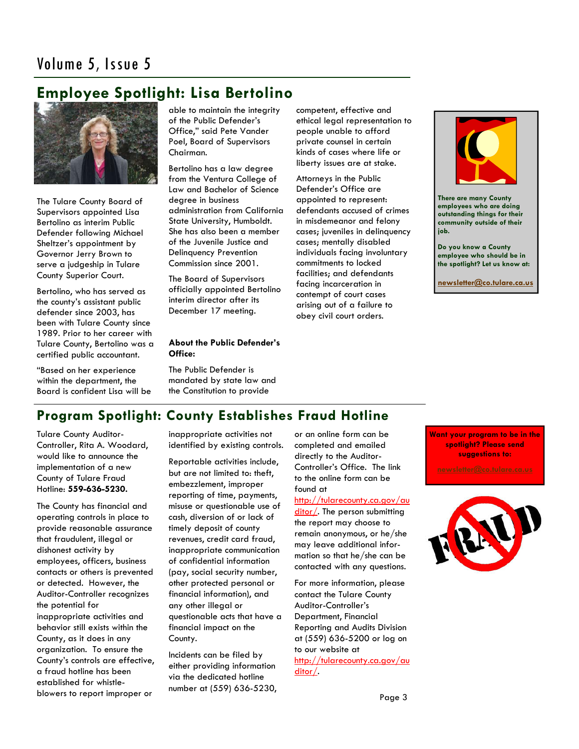## **Employee Spotlight: Lisa Bertolino**



The Tulare County Board of Supervisors appointed Lisa Bertolino as interim Public Defender following Michael Sheltzer's appointment by Governor Jerry Brown to serve a judgeship in Tulare County Superior Court.

Bertolino, who has served as the county's assistant public defender since 2003, has been with Tulare County since 1989. Prior to her career with Tulare County, Bertolino was a certified public accountant.

"Based on her experience within the department, the Board is confident Lisa will be able to maintain the integrity of the Public Defender's Office," said Pete Vander Poel, Board of Supervisors Chairman.

Bertolino has a law degree from the Ventura College of Law and Bachelor of Science degree in business administration from California State University, Humboldt. She has also been a member of the Juvenile Justice and Delinquency Prevention Commission since 2001.

The Board of Supervisors officially appointed Bertolino interim director after its December 17 meeting.

#### **About the Public Defender's Office:**

The Public Defender is mandated by state law and the Constitution to provide

competent, effective and ethical legal representation to people unable to afford private counsel in certain kinds of cases where life or liberty issues are at stake.

Attorneys in the Public Defender's Office are appointed to represent: defendants accused of crimes in misdemeanor and felony cases; juveniles in delinquency cases; mentally disabled individuals facing involuntary commitments to locked facilities; and defendants facing incarceration in contempt of court cases arising out of a failure to obey civil court orders.



**There are many County employees who are doing outstanding things for their community outside of their job.** 

**Do you know a County employee who should be in the spotlight? Let us know at:** 

**[newsletter@co.tulare.ca.us](mailto:newsletter@co.tulare.ca.us?subject=Employee%20spotlight)**

## **Program Spotlight: County Establishes Fraud Hotline**

Tulare County Auditor-Controller, Rita A. Woodard, would like to announce the implementation of a new County of Tulare Fraud Hotline: **559-636-5230.** 

The County has financial and operating controls in place to provide reasonable assurance that fraudulent, illegal or dishonest activity by employees, officers, business contacts or others is prevented or detected. However, the Auditor-Controller recognizes the potential for inappropriate activities and behavior still exists within the County, as it does in any organization. To ensure the County's controls are effective, a fraud hotline has been established for whistleblowers to report improper or

inappropriate activities not identified by existing controls.

Reportable activities include, but are not limited to: theft, embezzlement, improper reporting of time, payments, misuse or questionable use of cash, diversion of or lack of timely deposit of county revenues, credit card fraud, inappropriate communication of confidential information (pay, social security number, other protected personal or financial information), and any other illegal or questionable acts that have a financial impact on the County.

Incidents can be filed by either providing information via the dedicated hotline number at (559) 636-5230,

or an online form can be completed and emailed directly to the Auditor-Controller's Office. The link to the online form can be found at

#### http://tularecounty.ca.gov/au

ditor/. The person submitting the report may choose to remain anonymous, or he/she may leave additional information so that he/she can be contacted with any questions.

For more information, please contact the Tulare County Auditor-Controller's Department, Financial Reporting and Audits Division at (559) 636-5200 or log on to our website at http://tularecounty.ca.gov/au ditor/.

**Want your program to be in the spotlight? Please send suggestions to:**